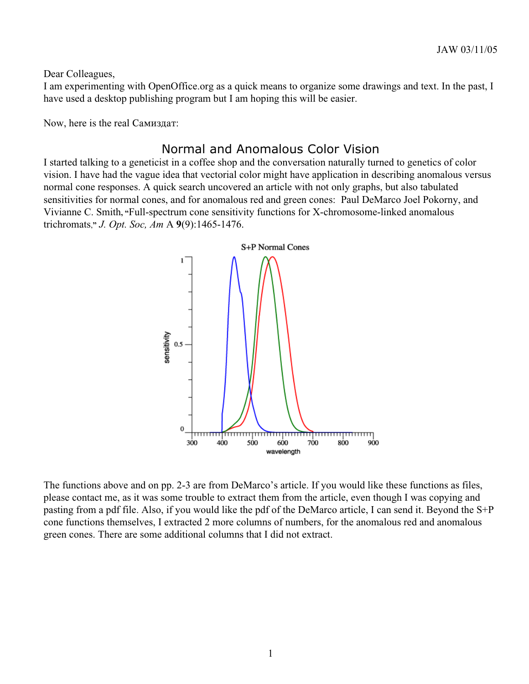Dear Colleagues,

I am experimenting with OpenOffice.org as a quick means to organize some drawings and text. In the past, I have used a desktop publishing program but I am hoping this will be easier.

Now, here is the real Самиздат:

## Normal and Anomalous Color Vision

I started talking to a geneticist in a coffee shop and the conversation naturally turned to genetics of color vision. I have had the vague idea that vectorial color might have application in describing anomalous versus normal cone responses. A quick search uncovered an article with not only graphs, but also tabulated sensitivities for normal cones, and for anomalous red and green cones: Paul DeMarco Joel Pokorny, and Vivianne C. Smith**, "**Full-spectrum cone sensitivity functions for X-chromosome-linked anomalous trichromats,**"** *J. Opt. Soc, Am* A **9**(9):1465-1476.



The functions above and on pp. 2-3 are from DeMarco's article. If you would like these functions as files, please contact me, as it was some trouble to extract them from the article, even though I was copying and pasting from a pdf file. Also, if you would like the pdf of the DeMarco article, I can send it. Beyond the S+P cone functions themselves, I extracted 2 more columns of numbers, for the anomalous red and anomalous green cones. There are some additional columns that I did not extract.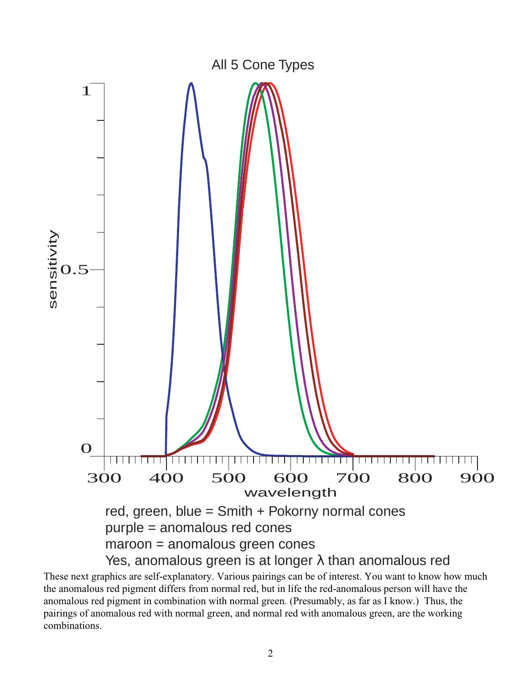

These next graphics are self-explanatory. Various pairings can be of interest. You want to know how much the anomalous red pigment differs from normal red, but in life the red-anomalous person will have the anomalous red pigment in combination with normal green. (Presumably, as far as I know.) Thus, the pairings of anomalous red with normal green, and normal red with anomalous green, are the working combinations.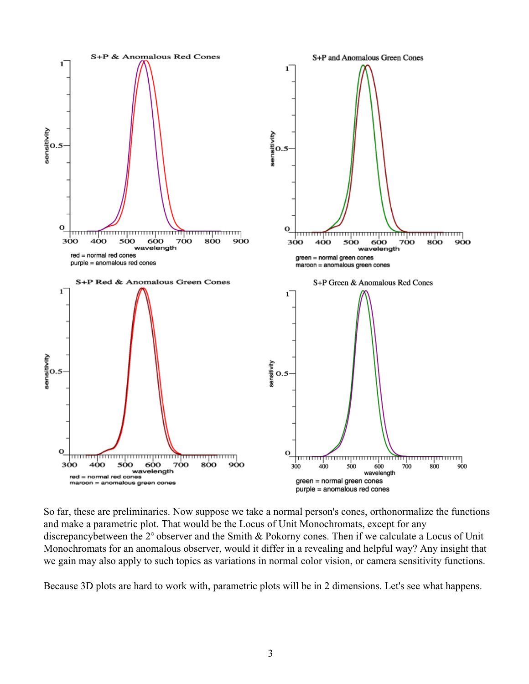

So far, these are preliminaries. Now suppose we take a normal person's cones, orthonormalize the functions and make a parametric plot. That would be the Locus of Unit Monochromats, except for any discrepancybetween the  $2^{\circ}$  observer and the Smith & Pokorny cones. Then if we calculate a Locus of Unit Monochromats for an anomalous observer, would it differ in a revealing and helpful way? Any insight that we gain may also apply to such topics as variations in normal color vision, or camera sensitivity functions.

Because 3D plots are hard to work with, parametric plots will be in 2 dimensions. Let's see what happens.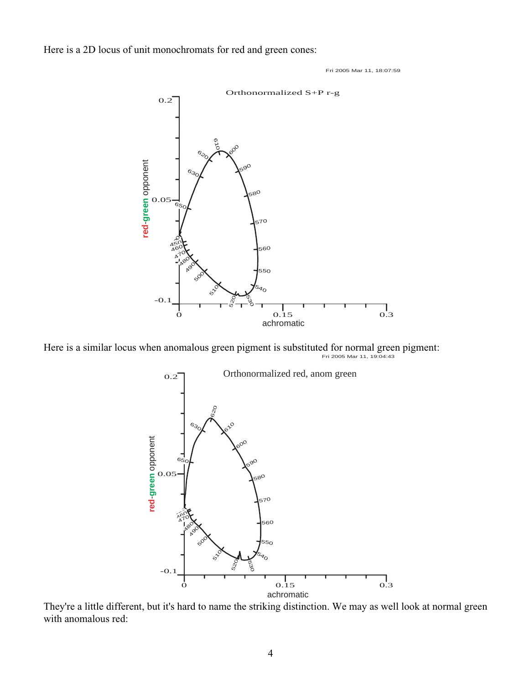Here is a 2D locus of unit monochromats for red and green cones:

Fri 2005 Mar 11, 18:07:59



Here is a similar locus when anomalous green pigment is substituted for normal green pigment:<br> $Fri\ 2005 \text{ Mar } 11, 19:04:43$ 



They're a little different, but it's hard to name the striking distinction. We may as well look at normal green with anomalous red: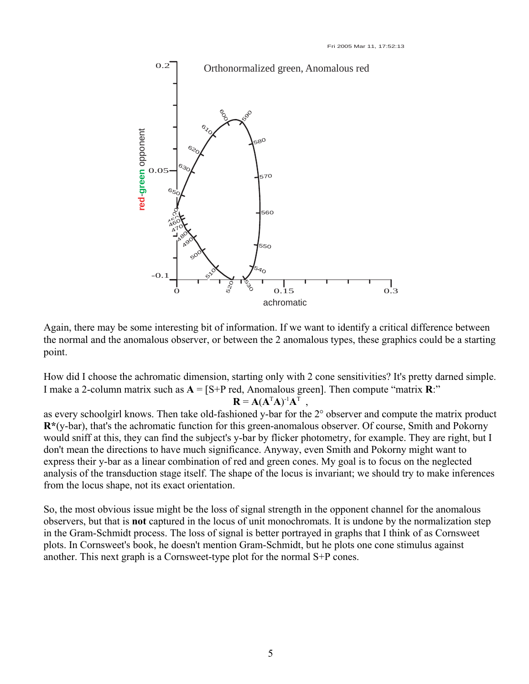

Again, there may be some interesting bit of information. If we want to identify a critical difference between the normal and the anomalous observer, or between the 2 anomalous types, these graphics could be a starting point.

How did I choose the achromatic dimension, starting only with 2 cone sensitivities? It's pretty darned simple. I make a 2-column matrix such as  $A = [S+P \text{ red}, A \text{nomalous green}]$ . Then compute "matrix  $R$ :"

## ${\bf R} = {\bf A}({\bf A}^{\rm T}{\bf A})^{\rm -1}{\bf A}^{\rm T}$ ,

as every schoolgirl knows. Then take old-fashioned y-bar for the 2<sup>o</sup> observer and compute the matrix product **R\***(y-bar), that's the achromatic function for this green-anomalous observer. Of course, Smith and Pokorny would sniff at this, they can find the subject's y-bar by flicker photometry, for example. They are right, but I don't mean the directions to have much significance. Anyway, even Smith and Pokorny might want to express their y-bar as a linear combination of red and green cones. My goal is to focus on the neglected analysis of the transduction stage itself. The shape of the locus is invariant; we should try to make inferences from the locus shape, not its exact orientation.

So, the most obvious issue might be the loss of signal strength in the opponent channel for the anomalous observers, but that is **not** captured in the locus of unit monochromats. It is undone by the normalization step in the Gram-Schmidt process. The loss of signal is better portrayed in graphs that I think of as Cornsweet plots. In Cornsweet's book, he doesn't mention Gram-Schmidt, but he plots one cone stimulus against another. This next graph is a Cornsweet-type plot for the normal S+P cones.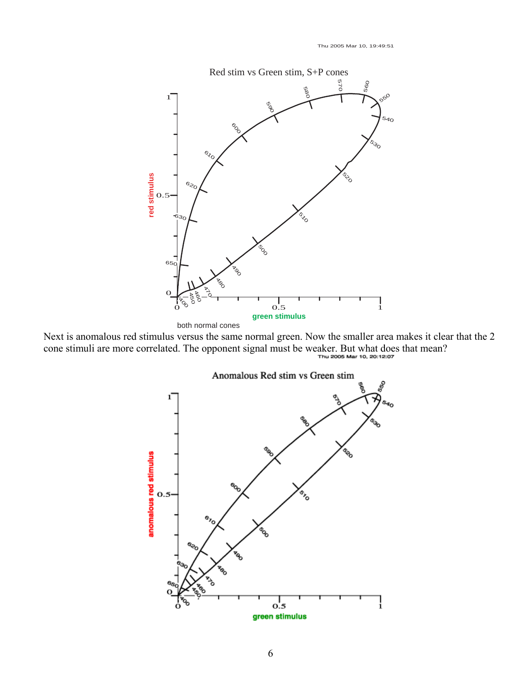Thu 2005 Mar 10, 19:49:51



Next is anomalous red stimulus versus the same normal green. Now the smaller area makes it clear that the 2 cone stimuli are more correlated. The opponent signal must be weaker. But what does that mean?

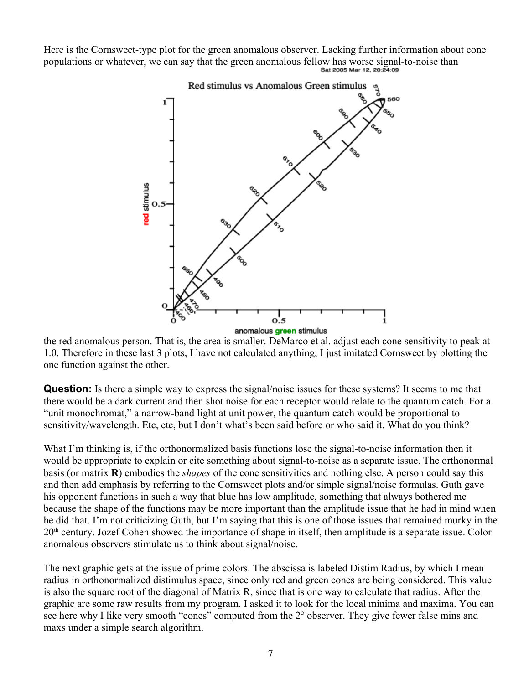Here is the Cornsweet-type plot for the green anomalous observer. Lacking further information about cone populations or whatever, we can say that the green anomalous fellow has worse signal-to-noise than



the red anomalous person. That is, the area is smaller. DeMarco et al. adjust each cone sensitivity to peak at 1.0. Therefore in these last 3 plots, I have not calculated anything, I just imitated Cornsweet by plotting the one function against the other.

**Question:** Is there a simple way to express the signal/noise issues for these systems? It seems to me that there would be a dark current and then shot noise for each receptor would relate to the quantum catch. For a "unit monochromat," a narrow-band light at unit power, the quantum catch would be proportional to sensitivity/wavelength. Etc, etc, but I don't what's been said before or who said it. What do you think?

What I'm thinking is, if the orthonormalized basis functions lose the signal-to-noise information then it would be appropriate to explain or cite something about signal-to-noise as a separate issue. The orthonormal basis (or matrix **R**) embodies the *shapes* of the cone sensitivities and nothing else. A person could say this and then add emphasis by referring to the Cornsweet plots and/or simple signal/noise formulas. Guth gave his opponent functions in such a way that blue has low amplitude, something that always bothered me because the shape of the functions may be more important than the amplitude issue that he had in mind when he did that. I'm not criticizing Guth, but I'm saying that this is one of those issues that remained murky in the 20th century. Jozef Cohen showed the importance of shape in itself, then amplitude is a separate issue. Color anomalous observers stimulate us to think about signal/noise.

The next graphic gets at the issue of prime colors. The abscissa is labeled Distim Radius, by which I mean radius in orthonormalized distimulus space, since only red and green cones are being considered. This value is also the square root of the diagonal of Matrix R, since that is one way to calculate that radius. After the graphic are some raw results from my program. I asked it to look for the local minima and maxima. You can see here why I like very smooth "cones" computed from the 2 $\degree$  observer. They give fewer false mins and maxs under a simple search algorithm.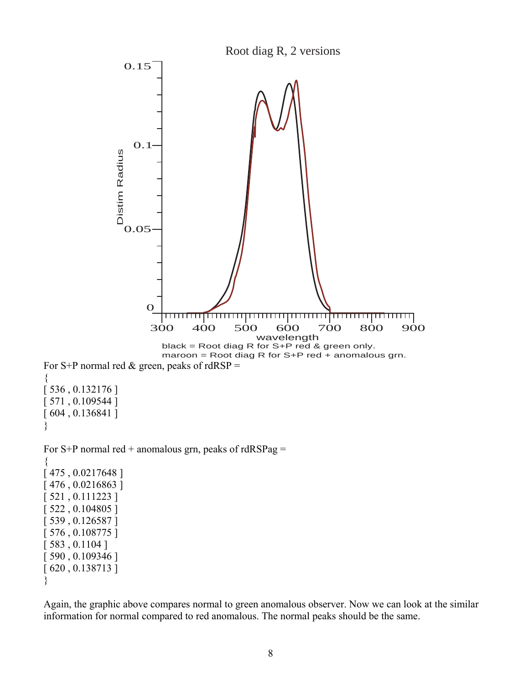

Again, the graphic above compares normal to green anomalous observer. Now we can look at the similar information for normal compared to red anomalous. The normal peaks should be the same.